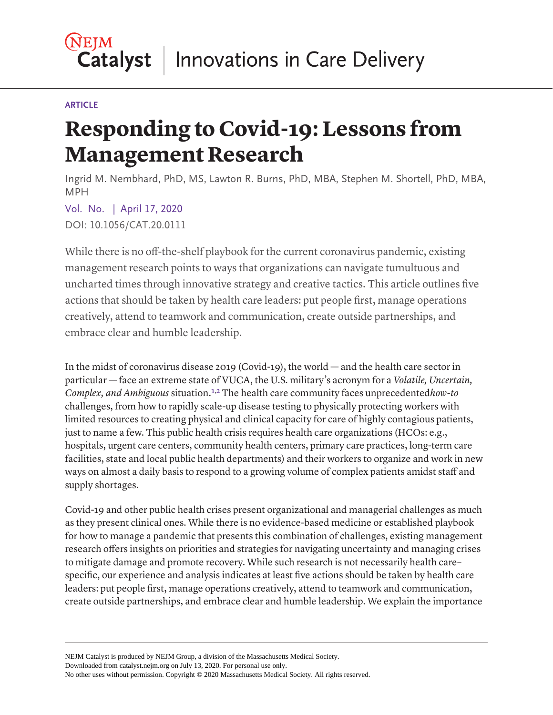#### **ARTICLE**

# **Responding to Covid-19: Lessons from Management Research**

Ingrid M. Nembhard, PhD, MS, Lawton R. Burns, PhD, MBA, Stephen M. Shortell, PhD, MBA, MPH

Vol. No. | April 17, 2020 DOI: 10.1056/CAT.20.0111

While there is no off-the-shelf playbook for the current coronavirus pandemic, existing management research points to ways that organizations can navigate tumultuous and uncharted times through innovative strategy and creative tactics. This article outlines five actions that should be taken by health care leaders: put people first, manage operations creatively, attend to teamwork and communication, create outside partnerships, and embrace clear and humble leadership.

<span id="page-0-1"></span><span id="page-0-0"></span>In the midst of coronavirus disease 2019 (Covid-19), the world — and the health care sector in particular — face an extreme state of VUCA, the U.S. military's acronym for a *Volatile, Uncertain, Complex, and Ambiguous* situation.[1,](#page-5-0) [2](#page-5-1) The health care community faces unprecedented*how-to* challenges, from how to rapidly scale-up disease testing to physically protecting workers with limited resources to creating physical and clinical capacity for care of highly contagious patients, just to name a few. This public health crisis requires health care organizations (HCOs: e.g., hospitals, urgent care centers, community health centers, primary care practices, long-term care facilities, state and local public health departments) and their workers to organize and work in new ways on almost a daily basis to respond to a growing volume of complex patients amidst staff and supply shortages.

Covid-19 and other public health crises present organizational and managerial challenges as much as they present clinical ones. While there is no evidence-based medicine or established playbook for how to manage a pandemic that presents this combination of challenges, existing management research offers insights on priorities and strategies for navigating uncertainty and managing crises to mitigate damage and promote recovery. While such research is not necessarily health care– specific, our experience and analysis indicates at least five actions should be taken by health care leaders: put people first, manage operations creatively, attend to teamwork and communication, create outside partnerships, and embrace clear and humble leadership. We explain the importance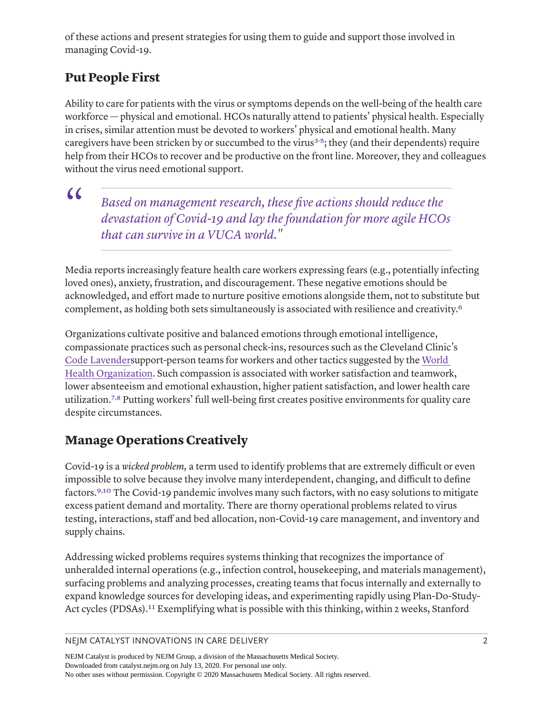of these actions and present strategies for using them to guide and support those involved in managing Covid-19.

## **Put People First**

<span id="page-1-0"></span>Ability to care for patients with the virus or symptoms depends on the well-being of the health care workforce — physical and emotional. HCOs naturally attend to patients' physical health. Especially in crises, similar attention must be devoted to workers' physical and emotional health. Many caregivers have been stricken by or succumbed to the virus<sup>3-5</sup>; they (and their dependents) require help from their HCOs to recover and be productive on the front line. Moreover, they and colleagues without the virus need emotional support.

 $\alpha$ 

<span id="page-1-1"></span>*Based on management research, these five actions should reduce the devastation of Covid-19 and lay the foundation for more agile HCOs that can survive in a VUCA world."*

Media reports increasingly feature health care workers expressing fears (e.g., potentially infecting loved ones), anxiety, frustration, and discouragement. These negative emotions should be acknowledged, and effort made to nurture positive emotions alongside them, not to substitute but complement, as holding both sets simultaneously is associated with resilience and creativity[.6](#page-5-4)

<span id="page-1-2"></span>Organizations cultivate positive and balanced emotions through emotional intelligence, compassionate practices such as personal check-ins, resources such as the Cleveland Clinic's [Code Lavenders](https://my.clevelandclinic.org/-/scassets/files/org/locations/hillcrest-hospital/spiritual-services/code-lavender.ashx?la=en)upport-person teams for workers and other tactics suggested by the [World](https://www.who.int/docs/default-source/coronaviruse/mental-health-considerations.pdf)  [Health Organization](https://www.who.int/docs/default-source/coronaviruse/mental-health-considerations.pdf). Such compassion is associated with worker satisfaction and teamwork, lower absenteeism and emotional exhaustion, higher patient satisfaction, and lower health care utilization[.7](#page-5-5), [8](#page-5-6) Putting workers' full well-being first creates positive environments for quality care despite circumstances.

## <span id="page-1-4"></span><span id="page-1-3"></span>**Manage Operations Creatively**

<span id="page-1-6"></span><span id="page-1-5"></span>Covid-19 is a *wicked problem,* a term used to identify problems that are extremely difficult or even impossible to solve because they involve many interdependent, changing, and difficult to define factors[.9](#page-5-7), [10](#page-6-0) The Covid-19 pandemic involves many such factors, with no easy solutions to mitigate excess patient demand and mortality. There are thorny operational problems related to virus testing, interactions, staff and bed allocation, non-Covid-19 care management, and inventory and supply chains.

Addressing wicked problems requires systems thinking that recognizes the importance of unheralded internal operations (e.g., infection control, housekeeping, and materials management), surfacing problems and analyzing processes, creating teams that focus internally and externally to expand knowledge sources for developing ideas, and experimenting rapidly using Plan-Do-Study-Act cycles (PDSAs).<sup>11</sup> Exemplifying what is possible with this thinking, within 2 weeks, Stanford

<span id="page-1-7"></span>NEJM CATALYST INNOVATIONS IN CARE DELIVERY 2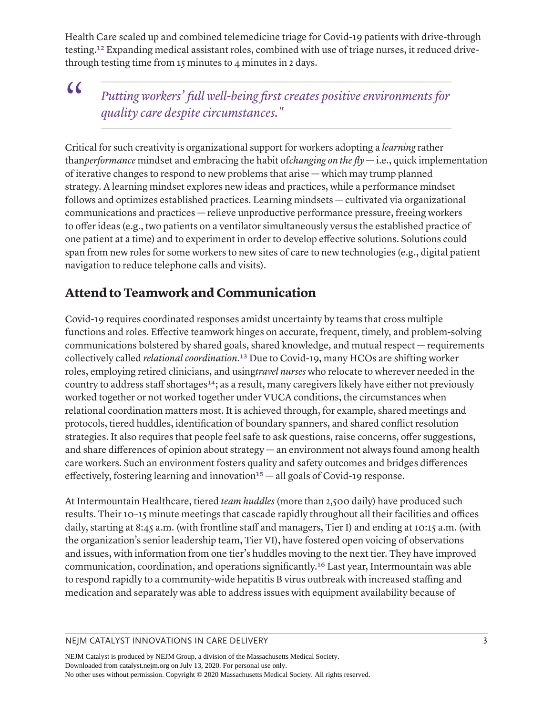<span id="page-2-0"></span>Health Care scaled up and combined telemedicine triage for Covid-19 patients with drive-through testing[.12](#page-6-2) Expanding medical assistant roles, combined with use of triage nurses, it reduced drivethrough testing time from 15 minutes to 4 minutes in 2 days.

## $\epsilon$

*Putting workers' full well-being first creates positive environments for quality care despite circumstances."*

Critical for such creativity is organizational support for workers adopting a *learning* rather than*performance* mindset and embracing the habit of*changing on the fly*  $-$  i.e., quick implementation of iterative changes to respond to new problems that arise — which may trump planned strategy. A learning mindset explores new ideas and practices, while a performance mindset follows and optimizes established practices. Learning mindsets — cultivated via organizational communications and practices — relieve unproductive performance pressure, freeing workers to offer ideas (e.g., two patients on a ventilator simultaneously versus the established practice of one patient at a time) and to experiment in order to develop effective solutions. Solutions could span from new roles for some workers to new sites of care to new technologies (e.g., digital patient navigation to reduce telephone calls and visits).

#### **Attend to Teamwork and Communication**

<span id="page-2-2"></span><span id="page-2-1"></span>Covid-19 requires coordinated responses amidst uncertainty by teams that cross multiple functions and roles. Effective teamwork hinges on accurate, frequent, timely, and problem-solving communications bolstered by shared goals, shared knowledge, and mutual respect — requirements collectively called *relational coordination*.[13](#page-6-3) Due to Covid-19, many HCOs are shifting worker roles, employing retired clinicians, and using*travel nurses* who relocate to wherever needed in the country to address staff shortages<sup>[14](#page-6-4)</sup>; as a result, many caregivers likely have either not previously worked together or not worked together under VUCA conditions, the circumstances when relational coordination matters most. It is achieved through, for example, shared meetings and protocols, tiered huddles, identification of boundary spanners, and shared conflict resolution strategies. It also requires that people feel safe to ask questions, raise concerns, offer suggestions, and share differences of opinion about strategy — an environment not always found among health care workers. Such an environment fosters quality and safety outcomes and bridges differences effectively, fostering learning and innovation<sup>15</sup>  $-$  all goals of Covid-19 response.

<span id="page-2-4"></span><span id="page-2-3"></span>At Intermountain Healthcare, tiered *team huddles* (more than 2,500 daily) have produced such results. Their 10–15 minute meetings that cascade rapidly throughout all their facilities and offices daily, starting at 8:45 a.m. (with frontline staff and managers, Tier I) and ending at 10:15 a.m. (with the organization's senior leadership team, Tier VI), have fostered open voicing of observations and issues, with information from one tier's huddles moving to the next tier. They have improved communication, coordination, and operations significantly[.16](#page-6-6) Last year, Intermountain was able to respond rapidly to a community-wide hepatitis B virus outbreak with increased staffing and medication and separately was able to address issues with equipment availability because of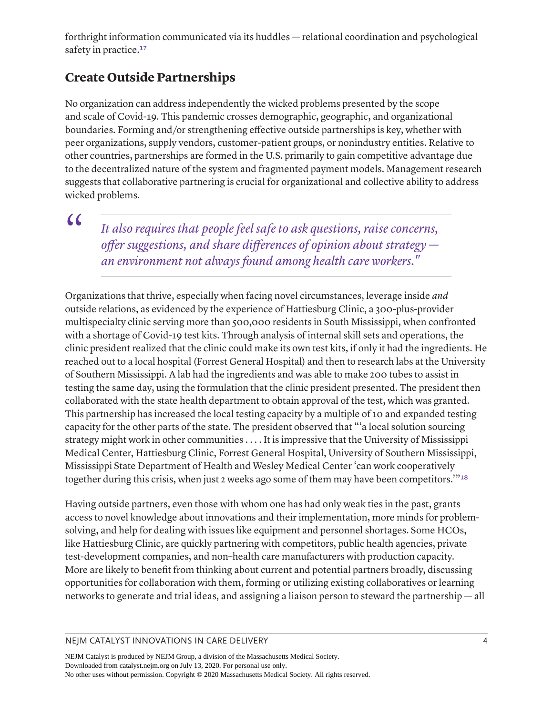<span id="page-3-0"></span>forthright information communicated via its huddles — relational coordination and psychological safety in practice.<sup>[17](#page-6-7)</sup>

## **Create Outside Partnerships**

No organization can address independently the wicked problems presented by the scope and scale of Covid-19. This pandemic crosses demographic, geographic, and organizational boundaries. Forming and/or strengthening effective outside partnerships is key, whether with peer organizations, supply vendors, customer-patient groups, or nonindustry entities. Relative to other countries, partnerships are formed in the U.S. primarily to gain competitive advantage due to the decentralized nature of the system and fragmented payment models. Management research suggests that collaborative partnering is crucial for organizational and collective ability to address wicked problems.

 $\alpha$ 

*It also requires that people feel safe to ask questions, raise concerns, offer suggestions, and share differences of opinion about strategy an environment not always found among health care workers."*

Organizations that thrive, especially when facing novel circumstances, leverage inside *and* outside relations, as evidenced by the experience of Hattiesburg Clinic, a 300-plus-provider multispecialty clinic serving more than 500,000 residents in South Mississippi, when confronted with a shortage of Covid-19 test kits. Through analysis of internal skill sets and operations, the clinic president realized that the clinic could make its own test kits, if only it had the ingredients. He reached out to a local hospital (Forrest General Hospital) and then to research labs at the University of Southern Mississippi. A lab had the ingredients and was able to make 200 tubes to assist in testing the same day, using the formulation that the clinic president presented. The president then collaborated with the state health department to obtain approval of the test, which was granted. This partnership has increased the local testing capacity by a multiple of 10 and expanded testing capacity for the other parts of the state. The president observed that "'a local solution sourcing strategy might work in other communities . . . . It is impressive that the University of Mississippi Medical Center, Hattiesburg Clinic, Forrest General Hospital, University of Southern Mississippi, Mississippi State Department of Health and Wesley Medical Center 'can work cooperatively together during this crisis, when just 2 weeks ago some of them may have been competitors.'"[18](#page-6-8)

<span id="page-3-1"></span>Having outside partners, even those with whom one has had only weak ties in the past, grants access to novel knowledge about innovations and their implementation, more minds for problemsolving, and help for dealing with issues like equipment and personnel shortages. Some HCOs, like Hattiesburg Clinic, are quickly partnering with competitors, public health agencies, private test-development companies, and non–health care manufacturers with production capacity. More are likely to benefit from thinking about current and potential partners broadly, discussing opportunities for collaboration with them, forming or utilizing existing collaboratives or learning networks to generate and trial ideas, and assigning a liaison person to steward the partnership — all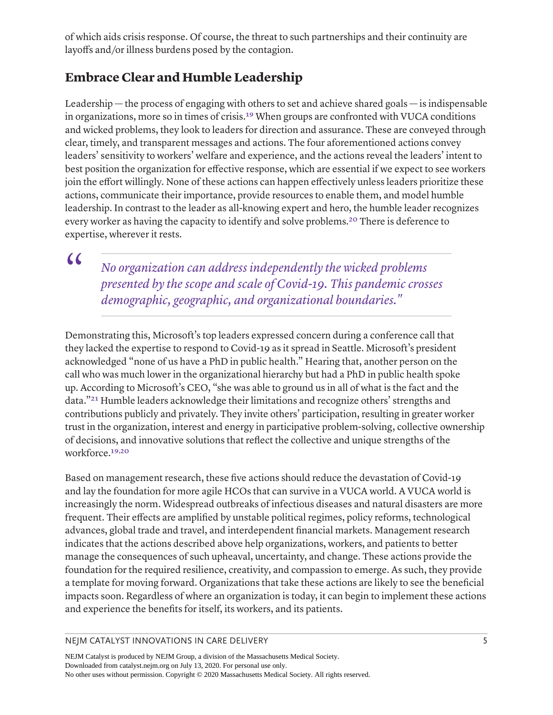of which aids crisis response. Of course, the threat to such partnerships and their continuity are layoffs and/or illness burdens posed by the contagion.

## **Embrace Clear and Humble Leadership**

Leadership — the process of engaging with others to set and achieve shared goals — is indispensable in organizations, more so in times of crisis[.19](#page-6-9) When groups are confronted with VUCA conditions and wicked problems, they look to leaders for direction and assurance. These are conveyed through clear, timely, and transparent messages and actions. The four aforementioned actions convey leaders' sensitivity to workers' welfare and experience, and the actions reveal the leaders' intent to best position the organization for effective response, which are essential if we expect to see workers join the effort willingly. None of these actions can happen effectively unless leaders prioritize these actions, communicate their importance, provide resources to enable them, and model humble leadership. In contrast to the leader as all-knowing expert and hero, the humble leader recognizes every worker as having the capacity to identify and solve problems[.20](#page-6-10) There is deference to expertise, wherever it rests.

 $\epsilon$ 

*No organization can address independently the wicked problems presented by the scope and scale of Covid-19. This pandemic crosses demographic, geographic, and organizational boundaries."*

<span id="page-4-2"></span>Demonstrating this, Microsoft's top leaders expressed concern during a conference call that they lacked the expertise to respond to Covid-19 as it spread in Seattle. Microsoft's president acknowledged "none of us have a PhD in public health." Hearing that, another person on the call who was much lower in the organizational hierarchy but had a PhD in public health spoke up. According to Microsoft's CEO, "she was able to ground us in all of what is the fact and the data."[21](#page-6-11) Humble leaders acknowledge their limitations and recognize others' strengths and contributions publicly and privately. They invite others' participation, resulting in greater worker trust in the organization, interest and energy in participative problem-solving, collective ownership of decisions, and innovative solutions that reflect the collective and unique strengths of the workforce.[19](#page-6-9), [20](#page-6-10)

<span id="page-4-1"></span><span id="page-4-0"></span>Based on management research, these five actions should reduce the devastation of Covid-19 and lay the foundation for more agile HCOs that can survive in a VUCA world. A VUCA world is increasingly the norm. Widespread outbreaks of infectious diseases and natural disasters are more frequent. Their effects are amplified by unstable political regimes, policy reforms, technological advances, global trade and travel, and interdependent financial markets. Management research indicates that the actions described above help organizations, workers, and patients to better manage the consequences of such upheaval, uncertainty, and change. These actions provide the foundation for the required resilience, creativity, and compassion to emerge. As such, they provide a template for moving forward. Organizations that take these actions are likely to see the beneficial impacts soon. Regardless of where an organization is today, it can begin to implement these actions and experience the benefits for itself, its workers, and its patients.

#### NEJM CATALYST INNOVATIONS IN CARE DELIVERY 5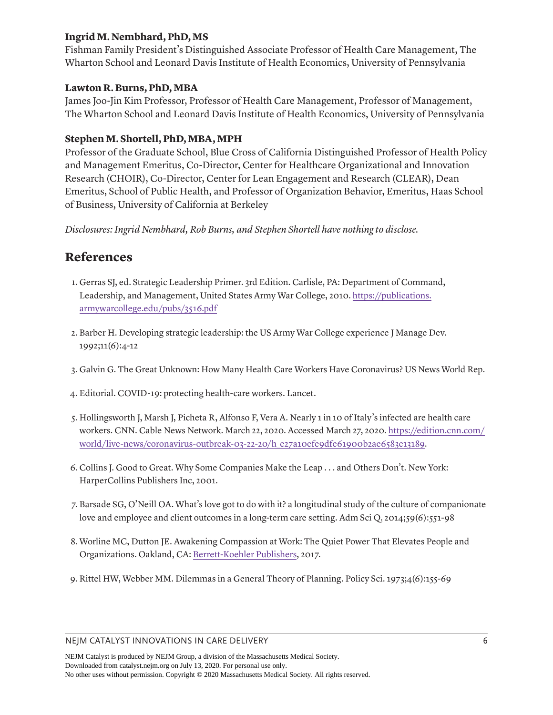#### **Ingrid M. Nembhard, PhD, MS**

Fishman Family President's Distinguished Associate Professor of Health Care Management, The Wharton School and Leonard Davis Institute of Health Economics, University of Pennsylvania

#### **Lawton R. Burns, PhD, MBA**

James Joo-Jin Kim Professor, Professor of Health Care Management, Professor of Management, The Wharton School and Leonard Davis Institute of Health Economics, University of Pennsylvania

#### **Stephen M. Shortell, PhD, MBA, MPH**

Professor of the Graduate School, Blue Cross of California Distinguished Professor of Health Policy and Management Emeritus, Co-Director, Center for Healthcare Organizational and Innovation Research (CHOIR), Co-Director, Center for Lean Engagement and Research (CLEAR), Dean Emeritus, School of Public Health, and Professor of Organization Behavior, Emeritus, Haas School of Business, University of California at Berkeley

*Disclosures: Ingrid Nembhard, Rob Burns, and Stephen Shortell have nothing to disclose.*

### **References**

- <span id="page-5-0"></span>[1.](#page-0-0) Gerras SJ, ed. Strategic Leadership Primer. 3rd Edition. Carlisle, PA: Department of Command, Leadership, and Management, United States Army War College, 2010. [https://publications.](https://publications.armywarcollege.edu/pubs/3516.pdf) [armywarcollege.edu/pubs/3516.pdf](https://publications.armywarcollege.edu/pubs/3516.pdf)
- <span id="page-5-1"></span>[2.](#page-0-1) Barber H. Developing strategic leadership: the US Army War College experience J Manage Dev. 1992;11(6):4-12
- <span id="page-5-2"></span>[3.](#page-1-0) Galvin G. The Great Unknown: How Many Health Care Workers Have Coronavirus? US News World Rep.
- 4. Editorial. COVID-19: protecting health-care workers. Lancet.
- <span id="page-5-3"></span>[5.](#page-1-1) Hollingsworth J, Marsh J, Picheta R, Alfonso F, Vera A. Nearly 1 in 10 of Italy's infected are health care workers. CNN. Cable News Network. March 22, 2020. Accessed March 27, 2020. [https://edition.cnn.com/](https://edition.cnn.com/world/live-news/coronavirus-outbreak-03-22-20/h_e27a10efe9dfe61900b2ae6583e13189) [world/live-news/coronavirus-outbreak-03-22-20/h\\_e27a10efe9dfe61900b2ae6583e13189](https://edition.cnn.com/world/live-news/coronavirus-outbreak-03-22-20/h_e27a10efe9dfe61900b2ae6583e13189).
- <span id="page-5-4"></span>[6.](#page-1-2) Collins J. Good to Great. Why Some Companies Make the Leap . . . and Others Don't. New York: HarperCollins Publishers Inc, 2001.
- <span id="page-5-5"></span>[7.](#page-1-3) Barsade SG, O'Neill OA. What's love got to do with it? a longitudinal study of the culture of companionate love and employee and client outcomes in a long-term care setting. Adm Sci Q. 2014;59(6):551-98
- <span id="page-5-6"></span>[8.](#page-1-4) Worline MC, Dutton JE. Awakening Compassion at Work: The Quiet Power That Elevates People and Organizations. Oakland, CA: [Berrett-Koehler Publishers,](http://Berrett-KoehlerPublishers) 2017.
- <span id="page-5-7"></span>[9.](#page-1-5) Rittel HW, Webber MM. Dilemmas in a General Theory of Planning. Policy Sci. 1973;4(6):155-69

#### NEJM CATALYST INNOVATIONS IN CARE DELIVERY 6